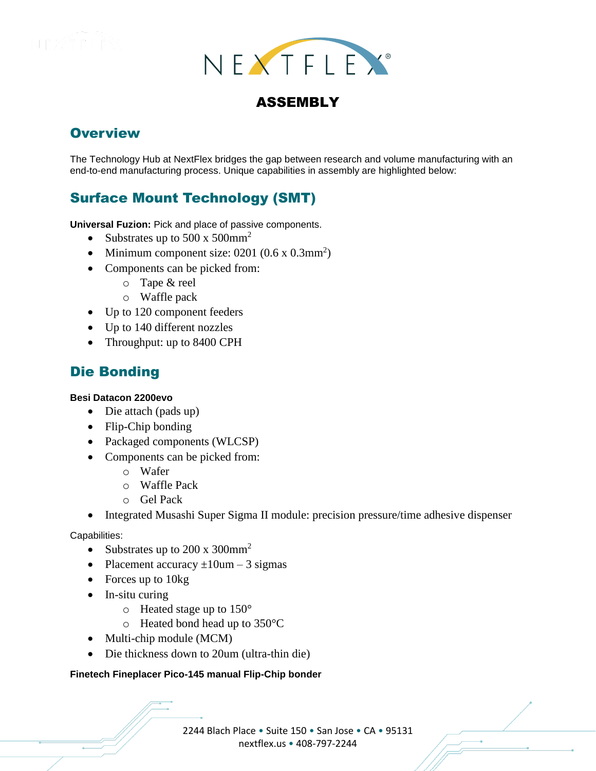



# ASSEMBLY

## **Overview**

The Technology Hub at NextFlex bridges the gap between research and volume manufacturing with an end-to-end manufacturing process. Unique capabilities in assembly are highlighted below:

# Surface Mount Technology (SMT)

**Universal Fuzion:** Pick and place of passive components.

- Substrates up to 500 x 500 mm<sup>2</sup>
- Minimum component size:  $0201 (0.6 \times 0.3 \text{mm}^2)$
- Components can be picked from:
	- o Tape & reel
	- o Waffle pack
- Up to 120 component feeders
- Up to 140 different nozzles
- Throughput: up to 8400 CPH

## Die Bonding

### **Besi Datacon 2200evo**

- Die attach (pads up)
- Flip-Chip bonding
- Packaged components (WLCSP)
- Components can be picked from:
	- o Wafer
	- o Waffle Pack
	- o Gel Pack
- Integrated Musashi Super Sigma II module: precision pressure/time adhesive dispenser

Capabilities:

- Substrates up to 200 x 300mm<sup>2</sup>
- Placement accuracy  $\pm 10$ um 3 sigmas
- Forces up to 10kg
- In-situ curing
	- $\circ$  Heated stage up to 150 $\circ$
	- o Heated bond head up to 350°C
- Multi-chip module (MCM)
- Die thickness down to 20um (ultra-thin die)

### **Finetech Fineplacer Pico-145 manual Flip-Chip bonder**